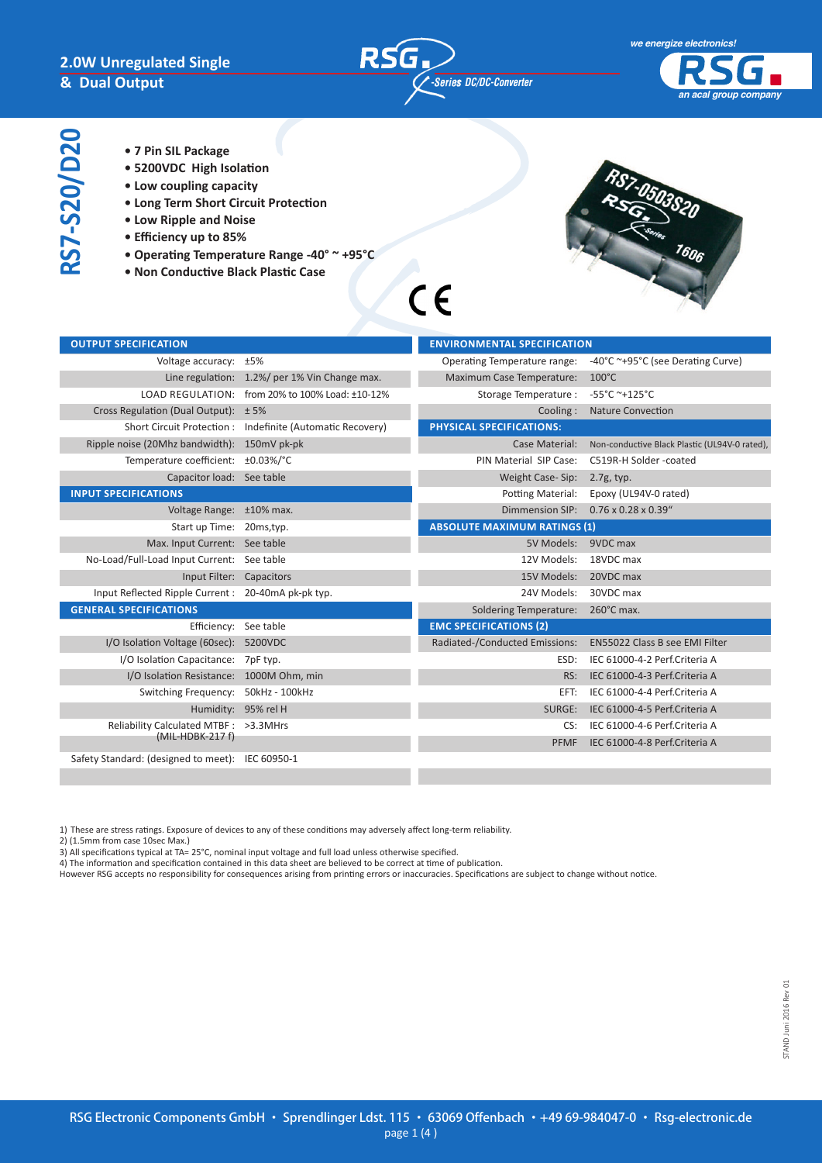

 $C \in$ 



- **RS7-S20/D20 RS7-S20/D20**
- **7 Pin SIL Package**
- **5200VDC High Isolation**
- **Low coupling capacity**
- **Long Term Short Circuit Protection**
- **Low Ripple and Noise**
- **Efficiency up to 85%**
- **Operating Temperature Range -40° ~ +95°C**
- **Non Conductive Black Plastic Case**



| <b>OUTPUT SPECIFICATION</b>                         |                                                            | <b>ENVIRONMENTAL SPECIFICATION</b>  |                                               |
|-----------------------------------------------------|------------------------------------------------------------|-------------------------------------|-----------------------------------------------|
| Voltage accuracy: ±5%                               |                                                            | Operating Temperature range:        | -40°C ~+95°C (see Derating Curve)             |
|                                                     | Line regulation: 1.2%/ per 1% Vin Change max.              | Maximum Case Temperature:           | $100^{\circ}$ C                               |
|                                                     | LOAD REGULATION: from 20% to 100% Load: ±10-12%            | Storage Temperature:                | $-55^{\circ}$ C ~+125°C                       |
| Cross Regulation (Dual Output): $\pm$ 5%            |                                                            | Cooling:                            | <b>Nature Convection</b>                      |
|                                                     | Short Circuit Protection : Indefinite (Automatic Recovery) | PHYSICAL SPECIFICATIONS:            |                                               |
| Ripple noise (20Mhz bandwidth): 150mV pk-pk         |                                                            | Case Material:                      | Non-conductive Black Plastic (UL94V-0 rated), |
| Temperature coefficient: ±0.03%/°C                  |                                                            | PIN Material SIP Case:              | C519R-H Solder -coated                        |
| Capacitor load: See table                           |                                                            | Weight Case-Sip:                    | 2.7g, typ.                                    |
| <b>INPUT SPECIFICATIONS</b>                         |                                                            | Potting Material:                   | Epoxy (UL94V-0 rated)                         |
| Voltage Range: ±10% max.                            |                                                            | Dimmension SIP:                     | $0.76 \times 0.28 \times 0.39$ "              |
| Start up Time: 20ms, typ.                           |                                                            | <b>ABSOLUTE MAXIMUM RATINGS (1)</b> |                                               |
| Max. Input Current: See table                       |                                                            | 5V Models: 9VDC max                 |                                               |
| No-Load/Full-Load Input Current: See table          |                                                            | 12V Models:                         | 18VDC max                                     |
| Input Filter: Capacitors                            |                                                            | 15V Models:                         | 20VDC max                                     |
| Input Reflected Ripple Current : 20-40mA pk-pk typ. |                                                            | 24V Models:                         | 30VDC max                                     |
| <b>GENERAL SPECIFICATIONS</b>                       |                                                            | Soldering Temperature:              | 260°C max.                                    |
| Efficiency: See table                               |                                                            | <b>EMC SPECIFICATIONS (2)</b>       |                                               |
| I/O Isolation Voltage (60sec): 5200VDC              |                                                            | Radiated-/Conducted Emissions:      | <b>EN55022 Class B see EMI Filter</b>         |
| I/O Isolation Capacitance: 7pF typ.                 |                                                            | ESD:                                | IEC 61000-4-2 Perf.Criteria A                 |
| I/O Isolation Resistance: 1000M Ohm, min            |                                                            | RS:                                 | IEC 61000-4-3 Perf.Criteria A                 |
| Switching Frequency: 50kHz - 100kHz                 |                                                            | EFT:                                | IEC 61000-4-4 Perf.Criteria A                 |
|                                                     | Humidity: 95% rel H                                        | SURGE:                              | IEC 61000-4-5 Perf.Criteria A                 |
| Reliability Calculated MTBF: >3.3MHrs               |                                                            | CS:                                 | IEC 61000-4-6 Perf.Criteria A                 |
| $(MIL-HDBK-217f)$                                   |                                                            | <b>PFMF</b>                         | IEC 61000-4-8 Perf.Criteria A                 |
| Safety Standard: (designed to meet): IEC 60950-1    |                                                            |                                     |                                               |
|                                                     |                                                            |                                     |                                               |

1) These are stress ratings. Exposure of devices to any of these conditions may adversely affect long-term reliability.

2) (1.5mm from case 10sec Max.)

3) All specifications typical at TA= 25°C, nominal input voltage and full load unless otherwise specified.

4) The information and specification contained in this data sheet are believed to be correct at time of publication.

However RSG accepts no responsibility for consequences arising from printing errors or inaccuracies. Specifications are subject to change without notice.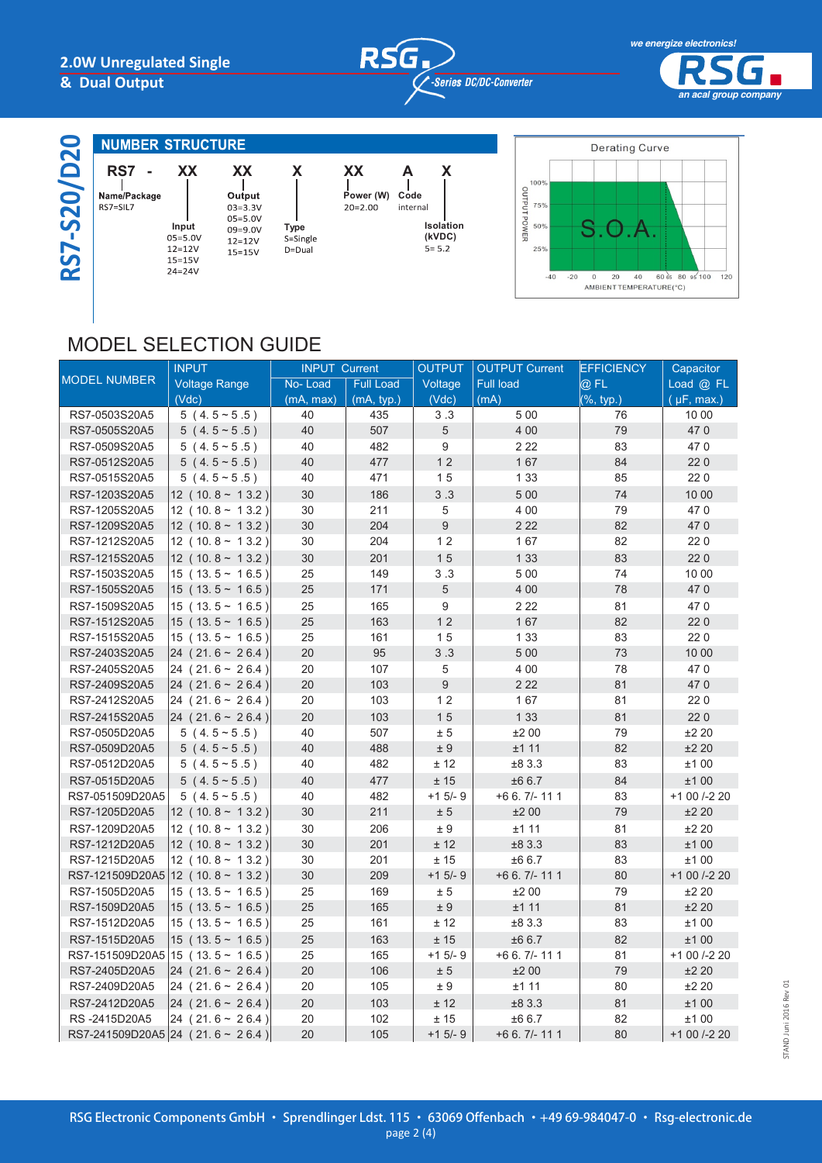# **RSG** *DC/DC-Converter*

**Isolation (kVDC)**



| 20                                        | <b>NUMBER STRUCTURE</b>             |                                                                      |                                                                                       |                                        |                       |
|-------------------------------------------|-------------------------------------|----------------------------------------------------------------------|---------------------------------------------------------------------------------------|----------------------------------------|-----------------------|
| $\bullet$<br>20<br><u>ທີ</u><br><b>29</b> | RS7<br>Name/Package<br>$RS7 = SIL7$ | XX<br>Input<br>$05 = 5.0V$<br>$12 = 12V$<br>$15 = 15V$<br>$24 = 24V$ | XX<br>Output<br>$03 = 3.3V$<br>$05 = 5.0V$<br>$09 = 9.0V$<br>$12 = 12V$<br>$15 = 15V$ | X<br><b>Type</b><br>S=Single<br>D=Dual | XX<br>Pow<br>$20 = 2$ |

 **Power (W) Code A X** internal



# MODEL SELECTION GUIDE

|                                | <b>INPUT</b>                     | <b>INPUT Current</b> |                  | <b>OUTPUT</b>  | <b>OUTPUT Current</b> | <b>EFFICIENCY</b> | Capacitor       |
|--------------------------------|----------------------------------|----------------------|------------------|----------------|-----------------------|-------------------|-----------------|
| <b>MODEL NUMBER</b>            | <b>Voltage Range</b>             | No-Load              | <b>Full Load</b> | Voltage        | <b>Full load</b>      | $@$ FL            | Load $@$ FL     |
|                                | (Vdc)                            | (mA, max)            | (mA, typ.)       | (Vdc)          | (mA)                  | $(\% , typ.)$     | $(\mu F, max.)$ |
| RS7-0503S20A5                  | $5(4.5 \times 5.5)$              | 40                   | 435              | 3.3            | 500                   | 76                | 10 00           |
| RS7-0505S20A5                  | $5(4.5 \times 5.5)$              | 40                   | 507              | $\overline{5}$ | 4 0 0                 | 79                | 470             |
| RS7-0509S20A5                  | $5(4.5 \times 5.5)$              | 40                   | 482              | 9              | 2 2 2                 | 83                | 470             |
| RS7-0512S20A5                  | $5(4.5 \times 5.5)$              | 40                   | 477              | 12             | 167                   | 84                | 220             |
| RS7-0515S20A5                  | $5(4.5 \times 5.5)$              | 40                   | 471              | 15             | 1 3 3                 | 85                | 220             |
| RS7-1203S20A5                  | $12$ (10.8 ~ 13.2)               | 30                   | 186              | 3.3            | 500                   | 74                | 10 00           |
| RS7-1205S20A5                  | $12$ (10.8 ~ 13.2)               | 30                   | 211              | 5              | 4 0 0                 | 79                | 470             |
| RS7-1209S20A5                  | $12$ (10.8 ~ 13.2)               | 30                   | 204              | $\overline{9}$ | 2 2 2                 | 82                | 470             |
| RS7-1212S20A5                  | $12$ (10.8 ~ 13.2)               | 30                   | 204              | 12             | 167                   | 82                | 220             |
| RS7-1215S20A5                  | $12$ (10.8 ~ 13.2)               | 30                   | 201              | 15             | 1 3 3                 | 83                | 220             |
| RS7-1503S20A5                  | $15$ (13.5 ~ 16.5)               | 25                   | 149              | 3.3            | 500                   | 74                | 10 00           |
| RS7-1505S20A5                  | $15$ (13.5 ~ 16.5)               | 25                   | 171              | 5              | 4 0 0                 | 78                | 470             |
| RS7-1509S20A5                  | $15(13.5 \sim 16.5)$             | 25                   | 165              | $\overline{9}$ | 2 2 2                 | 81                | 470             |
| RS7-1512S20A5                  | $15$ (13.5 ~ 16.5)               | 25                   | 163              | 12             | 167                   | 82                | 220             |
| RS7-1515S20A5                  | $15$ (13.5 ~ 16.5)               | 25                   | 161              | 15             | 1 3 3                 | 83                | 220             |
| RS7-2403S20A5                  | $24(21.6 \sim 26.4)$             | 20                   | 95               | 3.3            | 500                   | 73                | 10 00           |
| RS7-2405S20A5                  | $24(21.6 \sim 26.4)$             | 20                   | 107              | 5              | 4 0 0                 | 78                | 470             |
| RS7-2409S20A5                  | $24(21.6 \sim 26.4)$             | 20                   | 103              | 9              | 2 2 2                 | 81                | 470             |
| RS7-2412S20A5                  | $24(21.6 \sim 26.4)$             | 20                   | 103              | 12             | 167                   | 81                | 220             |
| RS7-2415S20A5                  | $24(21.6 \sim 26.4)$             | 20                   | 103              | 15             | 1 3 3                 | 81                | 220             |
| RS7-0505D20A5                  | $5(4.5 \times 5.5)$              | 40                   | 507              | ± 5            | ±200                  | 79                | ±220            |
| RS7-0509D20A5                  | $5(4.5 \times 5.5)$              | 40                   | 488              | ±9             | ±111                  | 82                | ±220            |
| RS7-0512D20A5                  | $5(4.5 \times 5.5)$              | 40                   | 482              | ± 12           | ±83.3                 | 83                | ±100            |
| RS7-0515D20A5                  | $5(4.5 \times 5.5)$              | 40                   | 477              | ± 15           | ±66.7                 | 84                | ±100            |
| RS7-051509D20A5                | $5(4.5 \times 5.5)$              | 40                   | 482              | $+1$ 5/- 9     | $+66.7/- 1111$        | 83                | +1 00 /-2 20    |
| RS7-1205D20A5                  | $12$ (10.8 ~ 13.2)               | 30                   | 211              | ± 5            | ±200                  | 79                | ±220            |
| RS7-1209D20A5                  | $12$ (10.8 ~ 13.2)               | 30                   | 206              | ± 9            | ±111                  | 81                | ±220            |
| RS7-1212D20A5                  | $12$ (10.8 ~ 13.2)               | 30                   | 201              | ± 12           | ±83.3                 | 83                | ±100            |
| RS7-1215D20A5                  | $12$ (10.8 ~ 13.2)               | 30                   | 201              | ± 15           | ±66.7                 | 83                | ±100            |
|                                | RS7-121509D20A5 12 (10.8 ~ 13.2) | 30                   | 209              | $+1$ 5/- 9     | $+66.7/- 1111$        | 80                | +1 00 /-2 20    |
| RS7-1505D20A5                  | $15$ (13.5 ~ 16.5)               | 25                   | 169              | ± 5            | ±200                  | 79                | ±220            |
| RS7-1509D20A5                  | $15$ (13.5 ~ 16.5)               | 25                   | 165              | ± 9            | ±111                  | 81                | ±220            |
| RS7-1512D20A5                  | $15$ (13.5 ~ 16.5)               | 25                   | 161              | ± 12           | ±83.3                 | 83                | ±100            |
| RS7-1515D20A5                  | $15(13.5 \sim 16.5)$             | 25                   | 163              | ± 15           | ±66.7                 | 82                | ±100            |
| RS7-151509D20A5 15 (13.5~16.5) |                                  | 25                   | 165              | $+1$ 5/- 9     | $+66.7/- 1111$        | 81                | +1 00 /-2 20    |
| RS7-2405D20A5                  | $24(21.6 \sim 26.4)$             | 20                   | 106              | ± 5            | ±200                  | 79                | ±220            |
| RS7-2409D20A5                  | $24(21.6 \sim 26.4)$             | 20                   | 105              | ± 9            | ±111                  | 80                | ±220            |
| RS7-2412D20A5                  | $24(21.6 \sim 26.4)$             | 20                   | 103              | ± 12           | ±83.3                 | 81                | ±100            |
| RS-2415D20A5                   | $24(21.6 \sim 26.4)$             | 20                   | 102              | ± 15           | ±66.7                 | 82                | ±100            |
|                                | RS7-241509D20A5 24 (21.6~26.4)   | 20                   | 105              | $+1$ 5/- 9     | $+66.7/- 1111$        | 80                | +1 00 /-2 20    |
|                                |                                  |                      |                  |                |                       |                   |                 |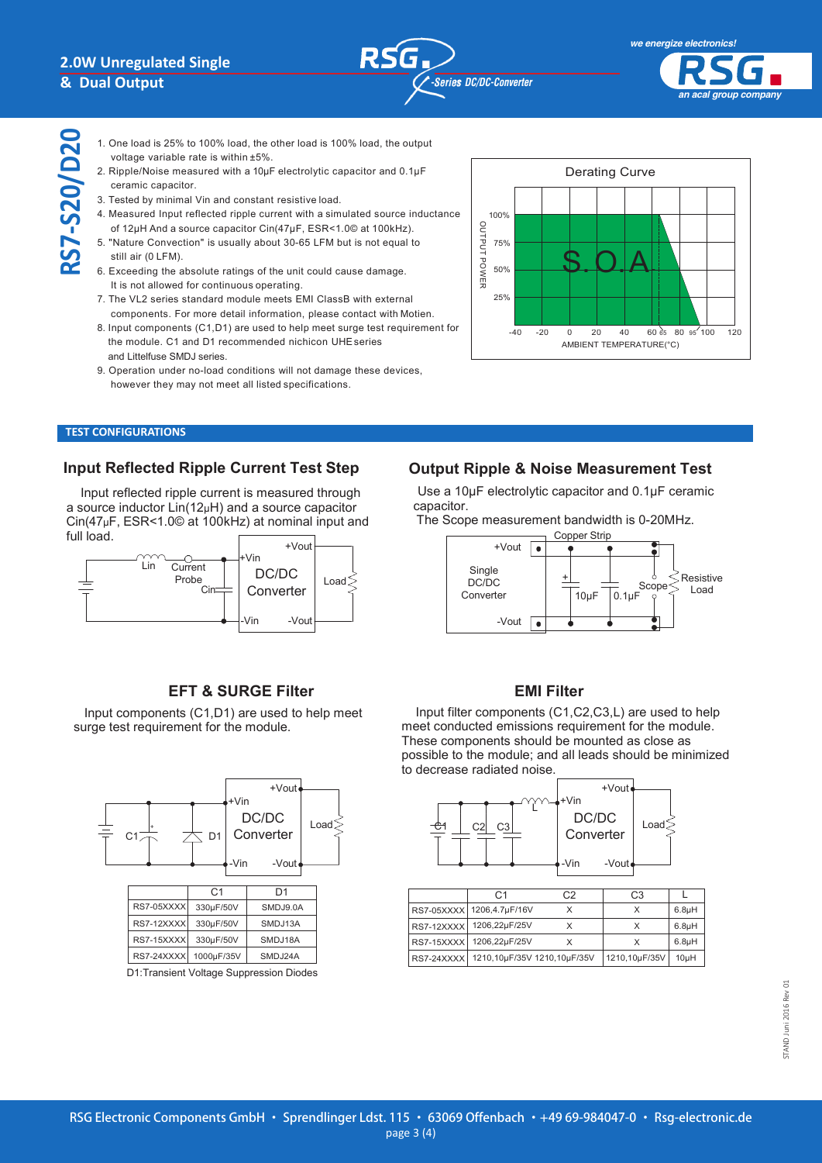**RS7-S20/D20**

**NOTE**



*we energize electronics! we energize electronics! an acal group company*

- $\bullet$  . One load, the other load, the other load, the other load, the output  $\bullet$ 1. One load is 25% to 100% load, the other load is 100% load, the output voltage variable rate is within ±5%.
- 2. Ripple/Noise measured with a 10µF electrolytic capacitor and 0.1µF ceramic capacitor.
- 3. Tested by minimal Vin and constant resistive load. 3. Tested by minimal Vin and constant resistive load.
- 4. Measured Input reflected ripple current with a simulated source inductance 4. Measured Input reflected ripple current with a simulated source inductance of 12µH And a source capacitor Cin(47µF, ESR<1.0© at 100kHz). of 12µH And a source capacitor Cin(47µF, ESR<1.0© at 100kHz).
- 5. "Nature Convection" is usually about 30-65 LFM but is not equal to 5. "Nature Convection" is usually about 30-65 LFM but is not equal to still air (0 LFM).
- 6. Exceeding the absolute ratings of the unit could cause damage. 6. Exceeding the absolute ratings of the unit could cause damage. It is not allowed for continuous operating. It is not allowed for continuous operating.
- 7. The VL2 series standard module meets EMI ClassB with external 7. The VL2 series standard module meets EMI ClassB with external components. For more detail information, please contact with Motien. components. For more detail information, please contact with Motien.
- 8. Input components (C1,D1) are used to help meet surge test requirement for 8. Input components (C1,D1) are used to help meet surgetest requirement for the module. C1 and D1 recommended nichicon UHEseries the module. C1 and D1 recommended nichicon UHEseries and Littelfuse SMDJ series. and Littelfuse SMDJ series.
- 9. Operation under no-load conditions will not damage these devices, 9. Operation under no-load conditions will not damage these devices, however they may not meet all listed specifications. however they may not meet all listed specifications.



#### **TEST CONFIGURATIONS TEST CONFIGURATIONS TEST CONFIGURATIONS**

## **Input Reflected Ripple Current Test Step Input Reflected Ripple Current Test Step**

Input reflected ripple current is measured through Input reflected ripple current is measured through a source inductor Lin(12µH) and a source capacitor a source inductor Lin(12µH) and a source capacitor Cin(47µF, ESR<1.0© at 100kHz) at nominal input and Cin(47µF, ESR<1.0© at 100kHz) at nominal input and full load.  $\mathbf{V}$ pi, Lor<br>..



#### **EFT & SURGE Filter**  $E \cap \alpha$  surver filter

Input components  $(C1, D1)$  are used to help meet surge test requirement for the module.



## **Output Ripple & Noise Measurement Test Output Ripple & Noise Measurement Test**

Use a 10µF electrolytic capacitor and 0.1µF ceramic Use a 10µF electrolytic capacitor and 0.1µF ceramic capacitor. ca ropri

The Scope measurement bandwidth is 0-20MHz. The Scope measurement bandwidth is 0-20MHz.



#### **EMI Filter** components (C<sub>1</sub>, C<sub>2</sub>, C<sub>2</sub>, C<sub>2</sub>, C<sub>2</sub>, C<sub>2</sub>, C<sub>2</sub>, C<sub>2</sub>, C<sub>2</sub>, C<sub>2</sub>, C<sub>2</sub>, C<sub>2</sub>, C<sub>2</sub>, C<sub>2</sub>, C<sub>2</sub>, C<sub>2</sub>, C<sub>2</sub>, C<sub>2</sub>, C<sub>2</sub>, C<sub>2</sub>, C<sub>2</sub>, C<sub>2</sub>, C<sub>2</sub>, C<sub>2</sub>, C<sub>2</sub>, C<sub>2</sub>, C<sub>2</sub>, C<sub>2</sub>, C<sub>2</sub>, C<sub>2</sub>, C<sub>2</sub>, C<sub>2</sub>, C<sub>2</sub>,

Input filter components (C1,C2,C3,L) are used to help meet conducted emissions requirement for the module. These components should be mounted as close as possible to the module; and all leads should be minimized to decrease radiated noise.



| C 1                                    | ۰2 | C3            |                    |
|----------------------------------------|----|---------------|--------------------|
| RS7-05XXXX 1206,4.7µF/16V              |    | x             | 6.8 <sub>µ</sub> H |
| RS7-12XXXX 1206,22µF/25V               |    | x             | 6.8 <sub>µ</sub> H |
| RS7-15XXXX 1206,22µF/25V               |    |               | 6.8 <sub>µ</sub> H |
| RS7-24XXXX 1210,10µF/35V 1210,10µF/35V |    | 1210,10µF/35V | 10 <sub>µ</sub> H  |